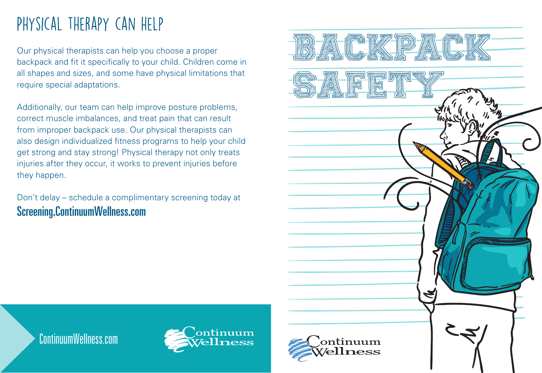# Physical therapy can help

Our physical therapists can help you choose a proper backpack and fit it specifically to your child. Children come in all shapes and sizes, and some have physical limitations that require special adaptations.

Additionally, our team can help improve posture problems, correct muscle imbalances, and treat pain that can result from improper backpack use. Our physical therapists can also design individualized fitness programs to help your child get strong and stay strong! Physical therapy not only treats injuries after they occur, it works to prevent injuries before they happen.

Don't delay – schedule a complimentary screening today at Screening.ContinuumWellness.com



ContinuumWellness.com